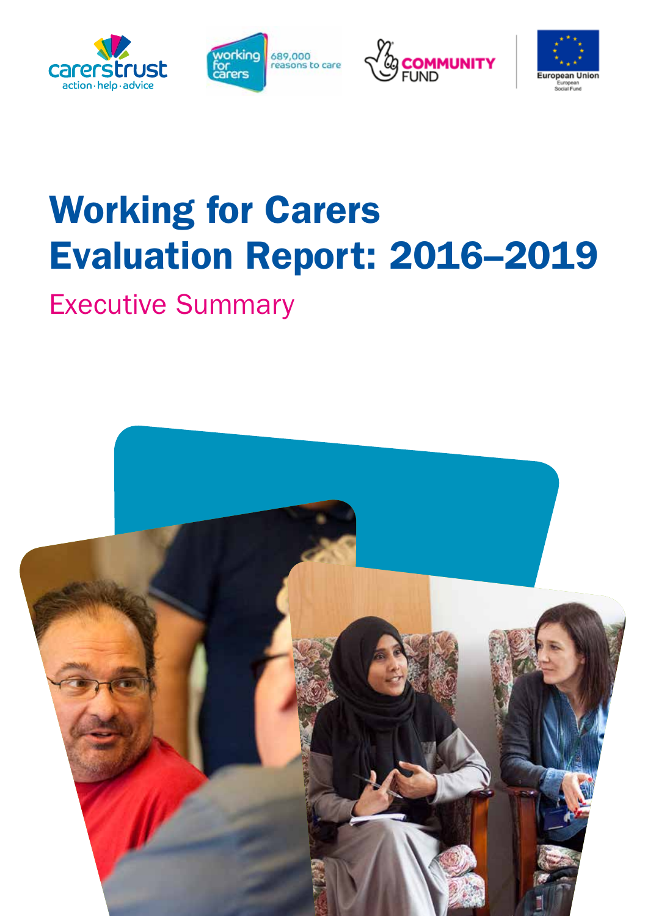







# Working for Carers Evaluation Report: 2016–2019

Executive Summary

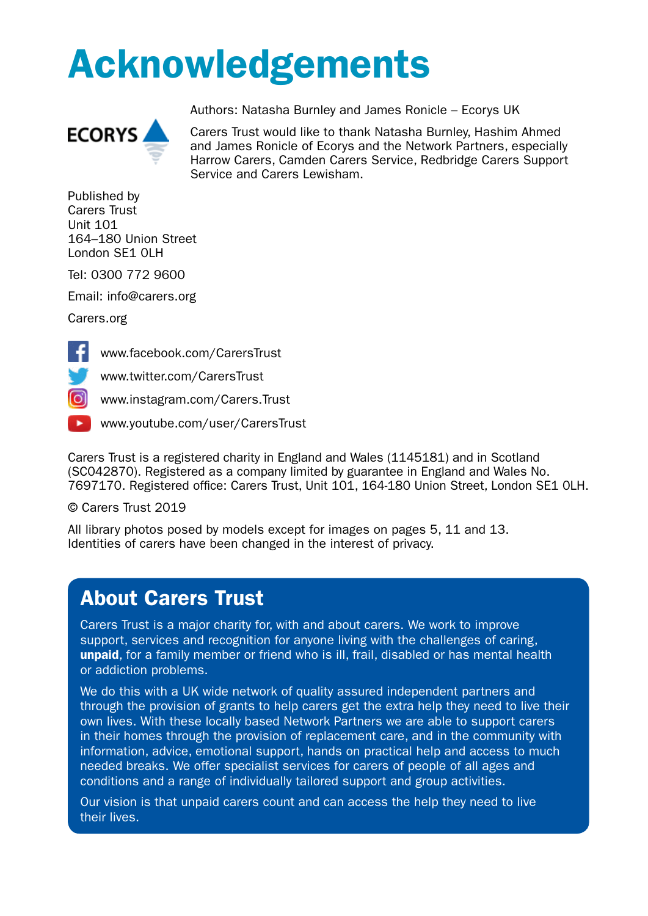# Acknowledgements



Authors: Natasha Burnley and James Ronicle – Ecorys UK

Carers Trust would like to thank Natasha Burnley, Hashim Ahmed and James Ronicle of Ecorys and the Network Partners, especially Harrow Carers, Camden Carers Service, Redbridge Carers Support Service and Carers Lewisham.

Published by Carers Trust Unit 101 164–180 Union Street London SE1 0LH

Tel: 0300 772 9600

Email: [info@carers.org](mailto:info%40carers.org?subject=)

[Carers.org](http://Carers.org)



[www.facebook.com/CarersTrust](http://www.facebook.com/CarersTrust)

[www.twitter.com/CarersTrust](http://www.twitter.com/CarersTrust)

[www.instagram.com/Carers.Trust](http://www.instagram.com/Carers.Trust)

[www.youtube.com/user/CarersTrust](http://www.youtube.com/user/CarersTrust)

Carers Trust is a registered charity in England and Wales (1145181) and in Scotland (SC042870). Registered as a company limited by guarantee in England and Wales No. 7697170. Registered office: Carers Trust, Unit 101, 164-180 Union Street, London SE1 0LH.

© Carers Trust 2019

All library photos posed by models except for images on pages 5, 11 and 13. Identities of carers have been changed in the interest of privacy.

### About Carers Trust

Carers Trust is a major charity for, with and about carers. We work to improve support, services and recognition for anyone living with the challenges of caring, unpaid, for a family member or friend who is ill, frail, disabled or has mental health or addiction problems.

We do this with a UK wide network of quality assured independent partners and through the provision of grants to help carers get the extra help they need to live their own lives. With these locally based Network Partners we are able to support carers in their homes through the provision of replacement care, and in the community with information, advice, emotional support, hands on practical help and access to much needed breaks. We offer specialist services for carers of people of all ages and conditions and a range of individually tailored support and group activities.

Our vision is that unpaid carers count and can access the help they need to live their lives.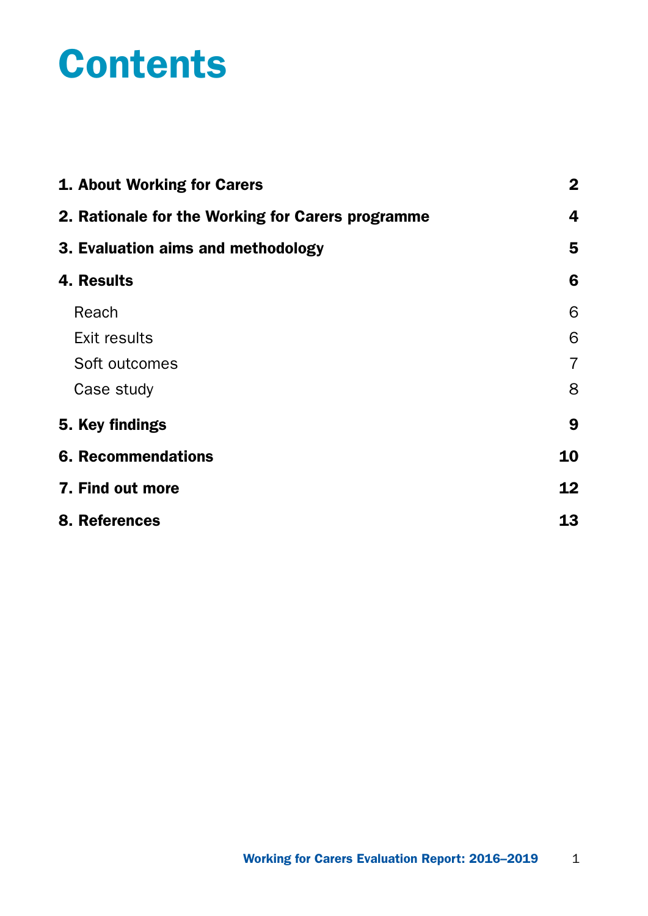## **Contents**

| 1. About Working for Carers                       | $\boldsymbol{2}$ |
|---------------------------------------------------|------------------|
| 2. Rationale for the Working for Carers programme |                  |
| 3. Evaluation aims and methodology                | 5                |
| 4. Results                                        | 6                |
| Reach                                             | 6                |
| <b>Exit results</b>                               | 6                |
| Soft outcomes                                     | $\overline{7}$   |
| Case study                                        | 8                |
| 5. Key findings                                   | 9                |
| <b>6. Recommendations</b>                         | 10               |
| 7. Find out more                                  | 12               |
| 8. References                                     | 13               |
|                                                   |                  |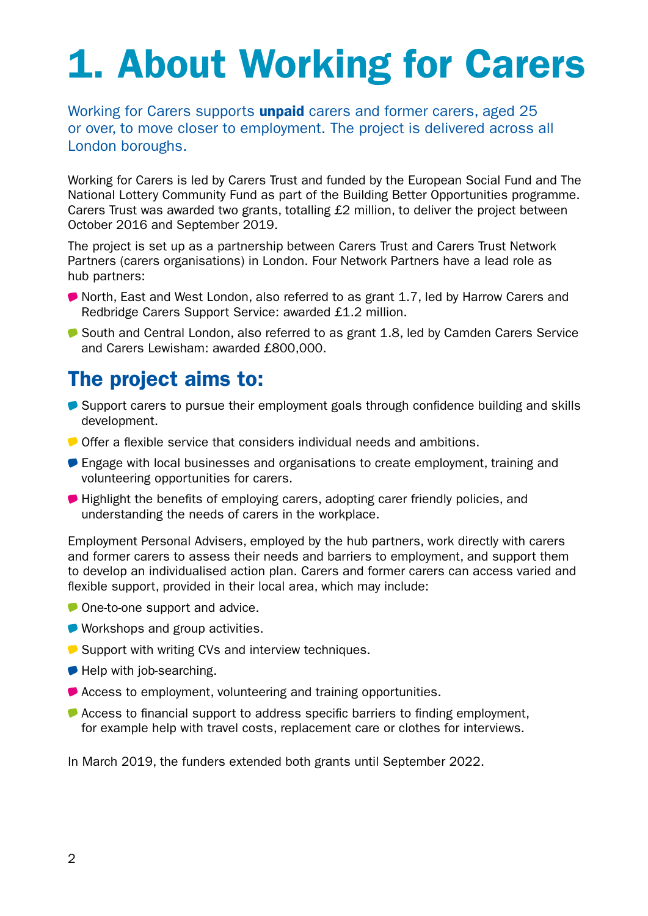# <span id="page-3-0"></span>1. About Working for Carers

Working for Carers supports **unpaid** carers and former carers, aged 25 or over, to move closer to employment. The project is delivered across all London boroughs.

Working for Carers is led by Carers Trust and funded by the European Social Fund and The National Lottery Community Fund as part of the Building Better Opportunities programme. Carers Trust was awarded two grants, totalling £2 million, to deliver the project between October 2016 and September 2019.

The project is set up as a partnership between Carers Trust and Carers Trust Network Partners (carers organisations) in London. Four Network Partners have a lead role as hub partners:

- North, East and West London, also referred to as grant 1.7, led by Harrow Carers and Redbridge Carers Support Service: awarded £1.2 million.
- South and Central London, also referred to as grant 1.8, led by Camden Carers Service and Carers Lewisham: awarded £800,000.

## The project aims to:

- Support carers to pursue their employment goals through confidence building and skills development.
- Offer a flexible service that considers individual needs and ambitions.
- **Engage with local businesses and organisations to create employment, training and** volunteering opportunities for carers.
- Highlight the benefits of employing carers, adopting carer friendly policies, and understanding the needs of carers in the workplace.

Employment Personal Advisers, employed by the hub partners, work directly with carers and former carers to assess their needs and barriers to employment, and support them to develop an individualised action plan. Carers and former carers can access varied and flexible support, provided in their local area, which may include:

- One-to-one support and advice.
- Workshops and group activities.
- Support with writing CVs and interview techniques.
- Help with job-searching.
- Access to employment, volunteering and training opportunities.
- Access to financial support to address specific barriers to finding employment, for example help with travel costs, replacement care or clothes for interviews.

In March 2019, the funders extended both grants until September 2022.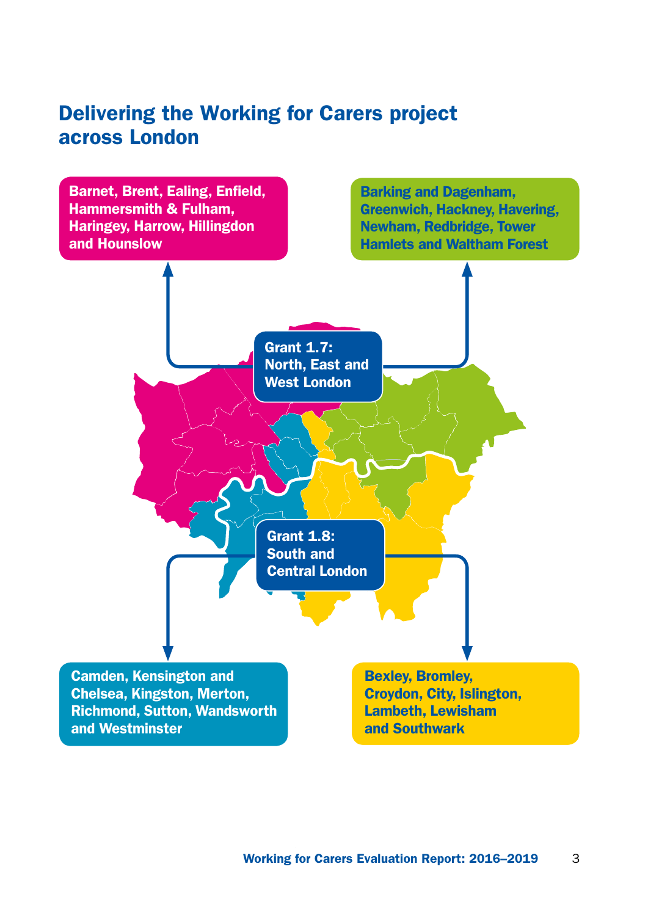### Delivering the Working for Carers project across London

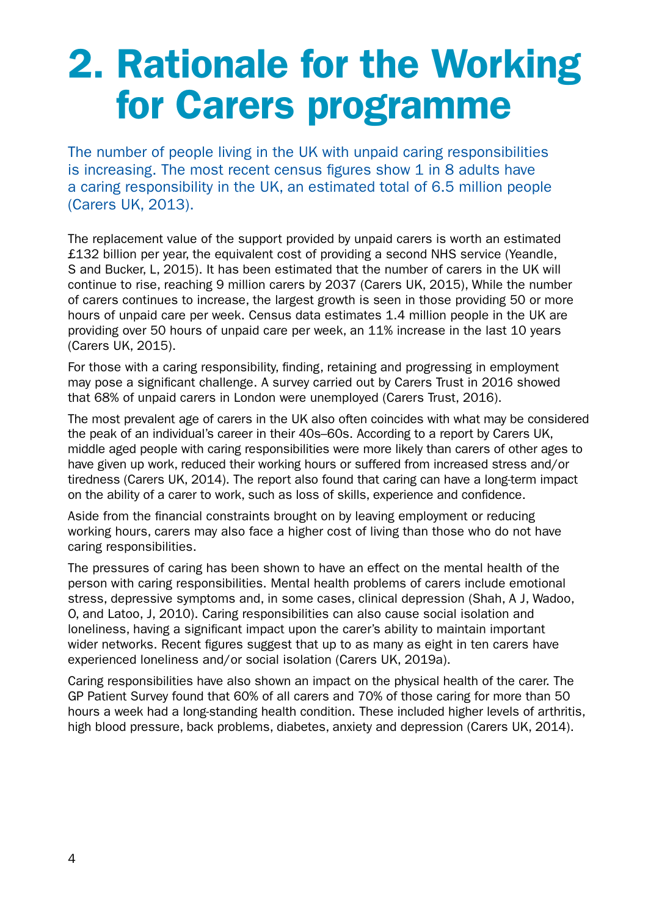## <span id="page-5-0"></span>2. Rationale for the Working for Carers programme

The number of people living in the UK with unpaid caring responsibilities is increasing. The most recent census figures show 1 in 8 adults have a caring responsibility in the UK, an estimated total of 6.5 million people (Carers UK, 2013).

The replacement value of the support provided by unpaid carers is worth an estimated £132 billion per year, the equivalent cost of providing a second NHS service (Yeandle, S and Bucker, L, 2015). It has been estimated that the number of carers in the UK will continue to rise, reaching 9 million carers by 2037 (Carers UK, 2015), While the number of carers continues to increase, the largest growth is seen in those providing 50 or more hours of unpaid care per week. Census data estimates 1.4 million people in the UK are providing over 50 hours of unpaid care per week, an 11% increase in the last 10 years (Carers UK, 2015).

For those with a caring responsibility, finding, retaining and progressing in employment may pose a significant challenge. A survey carried out by Carers Trust in 2016 showed that 68% of unpaid carers in London were unemployed (Carers Trust, 2016).

The most prevalent age of carers in the UK also often coincides with what may be considered the peak of an individual's career in their 40s–60s. According to a report by Carers UK, middle aged people with caring responsibilities were more likely than carers of other ages to have given up work, reduced their working hours or suffered from increased stress and/or tiredness (Carers UK, 2014). The report also found that caring can have a long-term impact on the ability of a carer to work, such as loss of skills, experience and confidence.

Aside from the financial constraints brought on by leaving employment or reducing working hours, carers may also face a higher cost of living than those who do not have caring responsibilities.

The pressures of caring has been shown to have an effect on the mental health of the person with caring responsibilities. Mental health problems of carers include emotional stress, depressive symptoms and, in some cases, clinical depression (Shah, A J, Wadoo, O, and Latoo, J, 2010). Caring responsibilities can also cause social isolation and loneliness, having a significant impact upon the carer's ability to maintain important wider networks. Recent figures suggest that up to as many as eight in ten carers have experienced loneliness and/or social isolation (Carers UK, 2019a).

Caring responsibilities have also shown an impact on the physical health of the carer. The GP Patient Survey found that 60% of all carers and 70% of those caring for more than 50 hours a week had a long-standing health condition. These included higher levels of arthritis, high blood pressure, back problems, diabetes, anxiety and depression (Carers UK, 2014).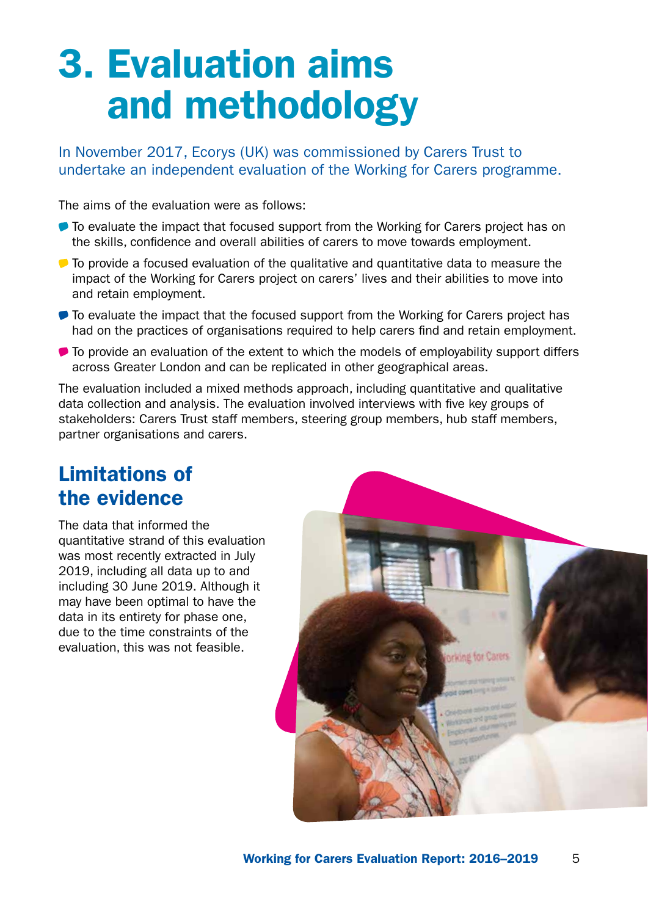## <span id="page-6-0"></span>3. Evaluation aims and methodology

In November 2017, Ecorys (UK) was commissioned by Carers Trust to undertake an independent evaluation of the Working for Carers programme.

The aims of the evaluation were as follows:

- $\bullet$  To evaluate the impact that focused support from the Working for Carers project has on the skills, confidence and overall abilities of carers to move towards employment.
- $\bullet$  To provide a focused evaluation of the qualitative and quantitative data to measure the impact of the Working for Carers project on carers' lives and their abilities to move into and retain employment.
- $\bullet$  To evaluate the impact that the focused support from the Working for Carers project has had on the practices of organisations required to help carers find and retain employment.
- $\bullet$  To provide an evaluation of the extent to which the models of employability support differs across Greater London and can be replicated in other geographical areas.

The evaluation included a mixed methods approach, including quantitative and qualitative data collection and analysis. The evaluation involved interviews with five key groups of stakeholders: Carers Trust staff members, steering group members, hub staff members, partner organisations and carers.

## Limitations of the evidence

The data that informed the quantitative strand of this evaluation was most recently extracted in July 2019, including all data up to and including 30 June 2019. Although it may have been optimal to have the data in its entirety for phase one, due to the time constraints of the evaluation, this was not feasible.

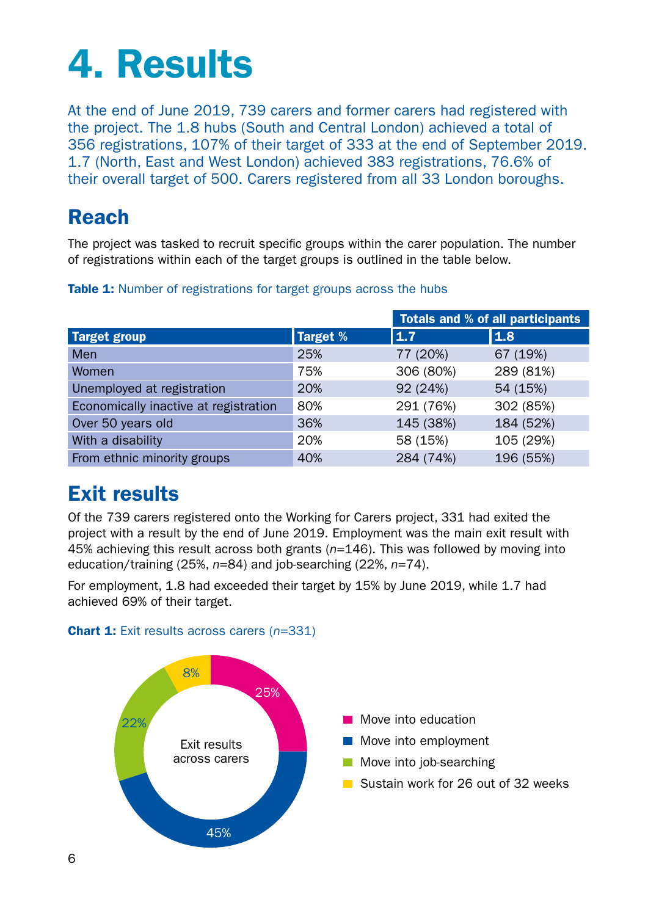## <span id="page-7-0"></span>4. Results

At the end of June 2019, 739 carers and former carers had registered with the project. The 1.8 hubs (South and Central London) achieved a total of 356 registrations, 107% of their target of 333 at the end of September 2019. 1.7 (North, East and West London) achieved 383 registrations, 76.6% of their overall target of 500. Carers registered from all 33 London boroughs.

## Reach

The project was tasked to recruit specific groups within the carer population. The number of registrations within each of the target groups is outlined in the table below.

|                                       |                 |           | <b>Totals and % of all participants</b> |
|---------------------------------------|-----------------|-----------|-----------------------------------------|
| <b>Target group</b>                   | <b>Target %</b> | 1.7       | 1.8                                     |
| Men                                   | 25%             | 77 (20%)  | 67 (19%)                                |
| Women                                 | 75%             | 306 (80%) | 289 (81%)                               |
| Unemployed at registration            | 20%             | 92 (24%)  | 54 (15%)                                |
| Economically inactive at registration | 80%             | 291 (76%) | 302 (85%)                               |
| Over 50 years old                     | 36%             | 145 (38%) | 184 (52%)                               |
| With a disability                     | 20%             | 58 (15%)  | 105 (29%)                               |
| From ethnic minority groups           | 40%             | 284 (74%) | 196 (55%)                               |

#### **Table 1:** Number of registrations for target groups across the hubs

## Exit results

Of the 739 carers registered onto the Working for Carers project, 331 had exited the project with a result by the end of June 2019. Employment was the main exit result with 45% achieving this result across both grants (*n*=146). This was followed by moving into education/training (25%, *n*=84) and job-searching (22%, *n*=74).

For employment, 1.8 had exceeded their target by 15% by June 2019, while 1.7 had achieved 69% of their target.

#### Chart 1: Exit results across carers (*n*=331)

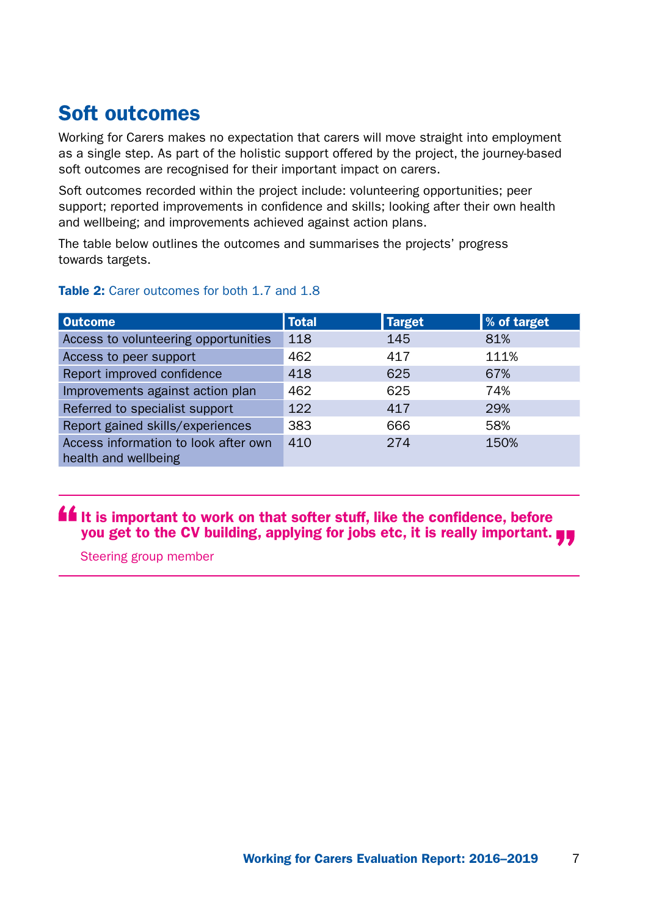## <span id="page-8-0"></span>Soft outcomes

Working for Carers makes no expectation that carers will move straight into employment as a single step. As part of the holistic support offered by the project, the journey-based soft outcomes are recognised for their important impact on carers.

Soft outcomes recorded within the project include: volunteering opportunities; peer support; reported improvements in confidence and skills; looking after their own health and wellbeing; and improvements achieved against action plans.

The table below outlines the outcomes and summarises the projects' progress towards targets.

| <b>Outcome</b>                                               | <b>Total</b> | <b>Target</b> | % of target |
|--------------------------------------------------------------|--------------|---------------|-------------|
| Access to volunteering opportunities                         | 118          | 145           | 81%         |
| Access to peer support                                       | 462          | 417           | 111%        |
| Report improved confidence                                   | 418          | 625           | 67%         |
| Improvements against action plan                             | 462          | 625           | 74%         |
| Referred to specialist support                               | 122          | 417           | 29%         |
| Report gained skills/experiences                             | 383          | 666           | 58%         |
| Access information to look after own<br>health and wellbeing | 410          | 274           | 150%        |

#### Table 2: Carer outcomes for both 1.7 and 1.8

**If** It is important to work on that softer stuff, like the confidence, before you get to the CV building, applying for jobs etc, it is really important.

Steering group member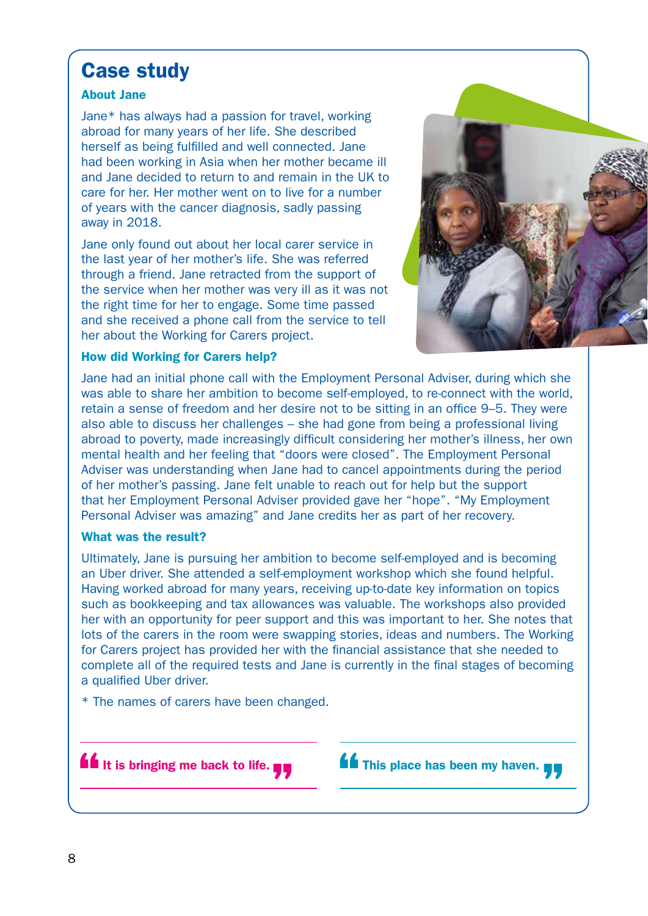### <span id="page-9-0"></span>Case study

#### About Jane

Jane\* has always had a passion for travel, working abroad for many years of her life. She described herself as being fulfilled and well connected. Jane had been working in Asia when her mother became ill and Jane decided to return to and remain in the UK to care for her. Her mother went on to live for a number of years with the cancer diagnosis, sadly passing away in 2018.

Jane only found out about her local carer service in the last year of her mother's life. She was referred through a friend. Jane retracted from the support of the service when her mother was very ill as it was not the right time for her to engage. Some time passed and she received a phone call from the service to tell her about the Working for Carers project.



#### How did Working for Carers help?

Jane had an initial phone call with the Employment Personal Adviser, during which she was able to share her ambition to become self-employed, to re-connect with the world, retain a sense of freedom and her desire not to be sitting in an office 9–5. They were also able to discuss her challenges – she had gone from being a professional living abroad to poverty, made increasingly difficult considering her mother's illness, her own mental health and her feeling that "doors were closed". The Employment Personal Adviser was understanding when Jane had to cancel appointments during the period of her mother's passing. Jane felt unable to reach out for help but the support that her Employment Personal Adviser provided gave her "hope". "My Employment Personal Adviser was amazing" and Jane credits her as part of her recovery.

#### What was the result?

Ultimately, Jane is pursuing her ambition to become self-employed and is becoming an Uber driver. She attended a self-employment workshop which she found helpful. Having worked abroad for many years, receiving up-to-date key information on topics such as bookkeeping and tax allowances was valuable. The workshops also provided her with an opportunity for peer support and this was important to her. She notes that lots of the carers in the room were swapping stories, ideas and numbers. The Working for Carers project has provided her with the financial assistance that she needed to complete all of the required tests and Jane is currently in the final stages of becoming a qualified Uber driver.

\* The names of carers have been changed.



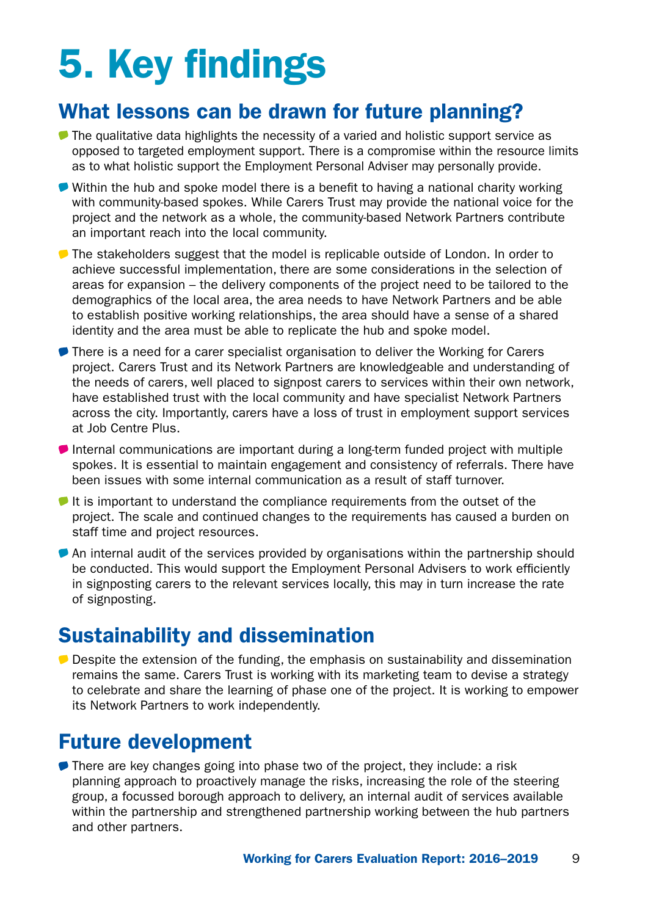# <span id="page-10-0"></span>5. Key findings

## What lessons can be drawn for future planning?

- **The qualitative data highlights the necessity of a varied and holistic support service as** opposed to targeted employment support. There is a compromise within the resource limits as to what holistic support the Employment Personal Adviser may personally provide.
- Within the hub and spoke model there is a benefit to having a national charity working with community-based spokes. While Carers Trust may provide the national voice for the project and the network as a whole, the community-based Network Partners contribute an important reach into the local community.
- The stakeholders suggest that the model is replicable outside of London. In order to achieve successful implementation, there are some considerations in the selection of areas for expansion – the delivery components of the project need to be tailored to the demographics of the local area, the area needs to have Network Partners and be able to establish positive working relationships, the area should have a sense of a shared identity and the area must be able to replicate the hub and spoke model.
- There is a need for a carer specialist organisation to deliver the Working for Carers project. Carers Trust and its Network Partners are knowledgeable and understanding of the needs of carers, well placed to signpost carers to services within their own network, have established trust with the local community and have specialist Network Partners across the city. Importantly, carers have a loss of trust in employment support services at Job Centre Plus.
- Internal communications are important during a long-term funded project with multiple spokes. It is essential to maintain engagement and consistency of referrals. There have been issues with some internal communication as a result of staff turnover.
- $\blacktriangleright$  It is important to understand the compliance requirements from the outset of the project. The scale and continued changes to the requirements has caused a burden on staff time and project resources.
- An internal audit of the services provided by organisations within the partnership should be conducted. This would support the Employment Personal Advisers to work efficiently in signposting carers to the relevant services locally, this may in turn increase the rate of signposting.

## Sustainability and dissemination

**Despite the extension of the funding, the emphasis on sustainability and dissemination** remains the same. Carers Trust is working with its marketing team to devise a strategy to celebrate and share the learning of phase one of the project. It is working to empower its Network Partners to work independently.

### Future development

● There are key changes going into phase two of the project, they include: a risk planning approach to proactively manage the risks, increasing the role of the steering group, a focussed borough approach to delivery, an internal audit of services available within the partnership and strengthened partnership working between the hub partners and other partners.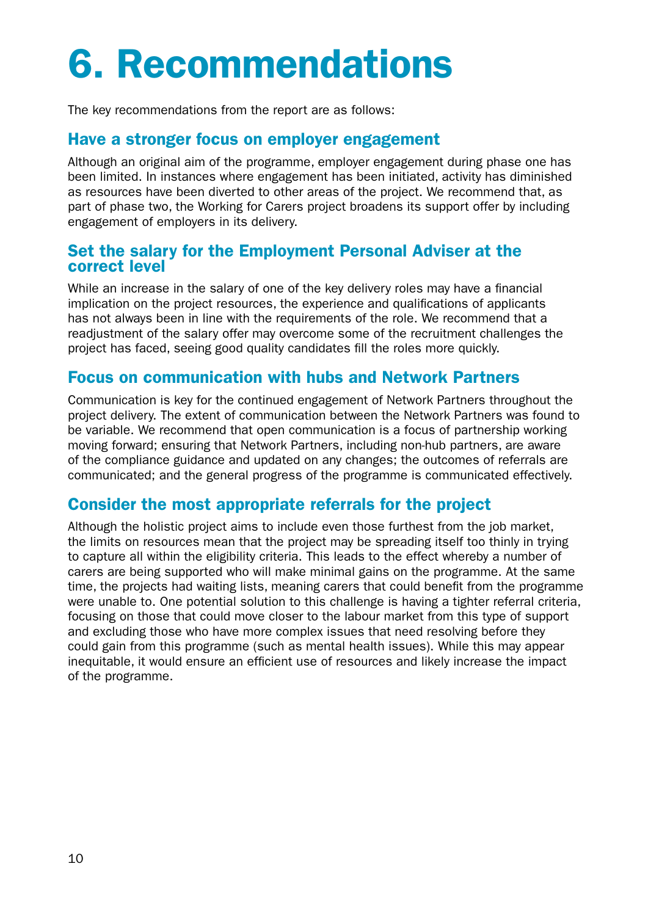# <span id="page-11-0"></span>6. Recommendations

The key recommendations from the report are as follows:

#### Have a stronger focus on employer engagement

Although an original aim of the programme, employer engagement during phase one has been limited. In instances where engagement has been initiated, activity has diminished as resources have been diverted to other areas of the project. We recommend that, as part of phase two, the Working for Carers project broadens its support offer by including engagement of employers in its delivery.

#### Set the salary for the Employment Personal Adviser at the correct level

While an increase in the salary of one of the key delivery roles may have a financial implication on the project resources, the experience and qualifications of applicants has not always been in line with the requirements of the role. We recommend that a readjustment of the salary offer may overcome some of the recruitment challenges the project has faced, seeing good quality candidates fill the roles more quickly.

#### Focus on communication with hubs and Network Partners

Communication is key for the continued engagement of Network Partners throughout the project delivery. The extent of communication between the Network Partners was found to be variable. We recommend that open communication is a focus of partnership working moving forward; ensuring that Network Partners, including non-hub partners, are aware of the compliance guidance and updated on any changes; the outcomes of referrals are communicated; and the general progress of the programme is communicated effectively.

#### Consider the most appropriate referrals for the project

Although the holistic project aims to include even those furthest from the job market, the limits on resources mean that the project may be spreading itself too thinly in trying to capture all within the eligibility criteria. This leads to the effect whereby a number of carers are being supported who will make minimal gains on the programme. At the same time, the projects had waiting lists, meaning carers that could benefit from the programme were unable to. One potential solution to this challenge is having a tighter referral criteria, focusing on those that could move closer to the labour market from this type of support and excluding those who have more complex issues that need resolving before they could gain from this programme (such as mental health issues). While this may appear inequitable, it would ensure an efficient use of resources and likely increase the impact of the programme.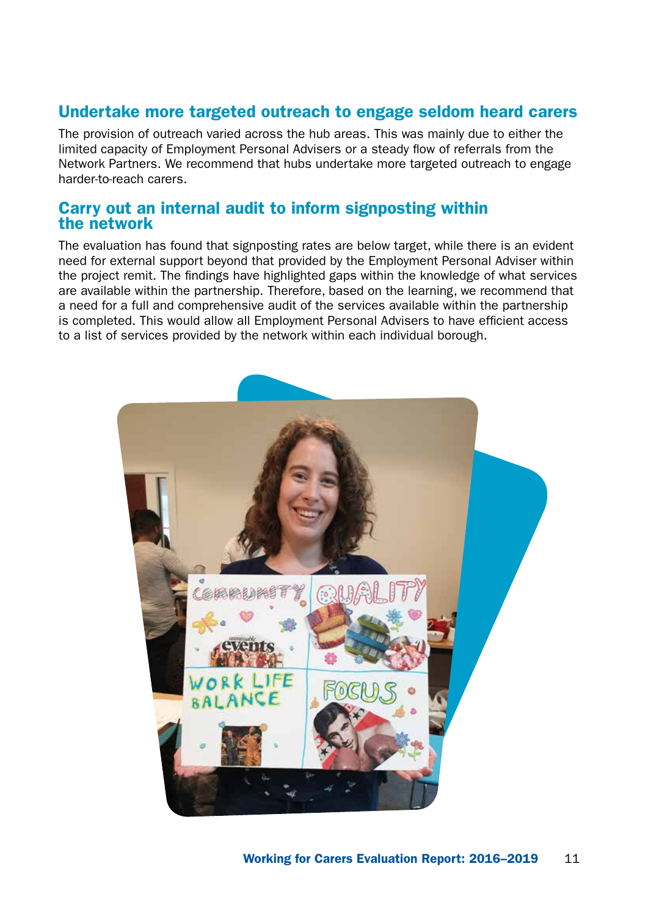#### Undertake more targeted outreach to engage seldom heard carers

The provision of outreach varied across the hub areas. This was mainly due to either the limited capacity of Employment Personal Advisers or a steady flow of referrals from the Network Partners. We recommend that hubs undertake more targeted outreach to engage harder-to-reach carers.

#### Carry out an internal audit to inform signposting within the network

The evaluation has found that signposting rates are below target, while there is an evident need for external support beyond that provided by the Employment Personal Adviser within the project remit. The findings have highlighted gaps within the knowledge of what services are available within the partnership. Therefore, based on the learning, we recommend that a need for a full and comprehensive audit of the services available within the partnership is completed. This would allow all Employment Personal Advisers to have efficient access to a list of services provided by the network within each individual borough.

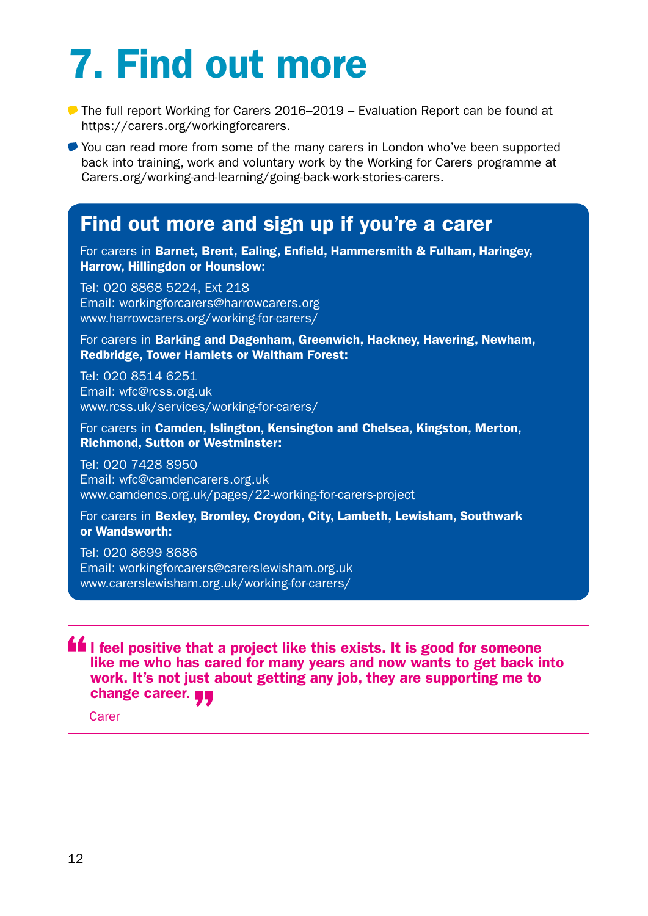# <span id="page-13-0"></span>7. Find out more

- The full report Working for Carers 2016–2019 Evaluation Report can be found at <https://carers.org/workingforcarers>.
- You can read more from some of the many carers in London who've been supported back into training, work and voluntary work by the Working for Carers programme at [Carers.org/working-and-learning/going-back-work-stories-carers](http://Carers.org/working-and-learning/going-back-work-stories-carers).

### Find out more and sign up if you're a carer

For carers in Barnet, Brent, Ealing, Enfield, Hammersmith & Fulham, Haringey, Harrow, Hillingdon or Hounslow:

Tel: 020 8868 5224, Ext 218 Email: [workingforcarers@harrowcarers.org](mailto:workingforcarers%40harrowcarers.org?subject=)  [www.harrowcarers.org/working-for-carers/](http://www.harrowcarers.org/working-for-carers/)

For carers in Barking and Dagenham, Greenwich, Hackney, Havering, Newham, Redbridge, Tower Hamlets or Waltham Forest:

Tel: 020 8514 6251 Email: [wfc@rcss.org.uk](mailto:wfc%40rcss.org.uk?subject=)  [www.rcss.uk/services/working-for-carers/](http://www.rcss.uk/services/working-for-carers/)

For carers in Camden, Islington, Kensington and Chelsea, Kingston, Merton, Richmond, Sutton or Westminster:

Tel: 020 7428 8950 Email: [wfc@camdencarers.org.uk](mailto:wfc%40camdencarers.org.uk?subject=) [www.camdencs.org.uk/pages/22-working-for-carers-project](http://www.camdencs.org.uk/pages/22-working-for-carers-project)

For carers in Bexley, Bromley, Croydon, City, Lambeth, Lewisham, Southwark or Wandsworth:

Tel: 020 8699 8686 Email: [workingforcarers@carerslewisham.org.uk](mailto:workingforcarers%40carerslewisham.org.uk?subject=) [www.carerslewisham.org.uk/working-for-carers/](http://www.carerslewisham.org.uk/working-for-carers/)

**If** I feel positive that a project like this exists. It is good for someone like me who has cared for many years and now wants to get back into work. It's not just about getting any job, they are supporting me to change career.

Carer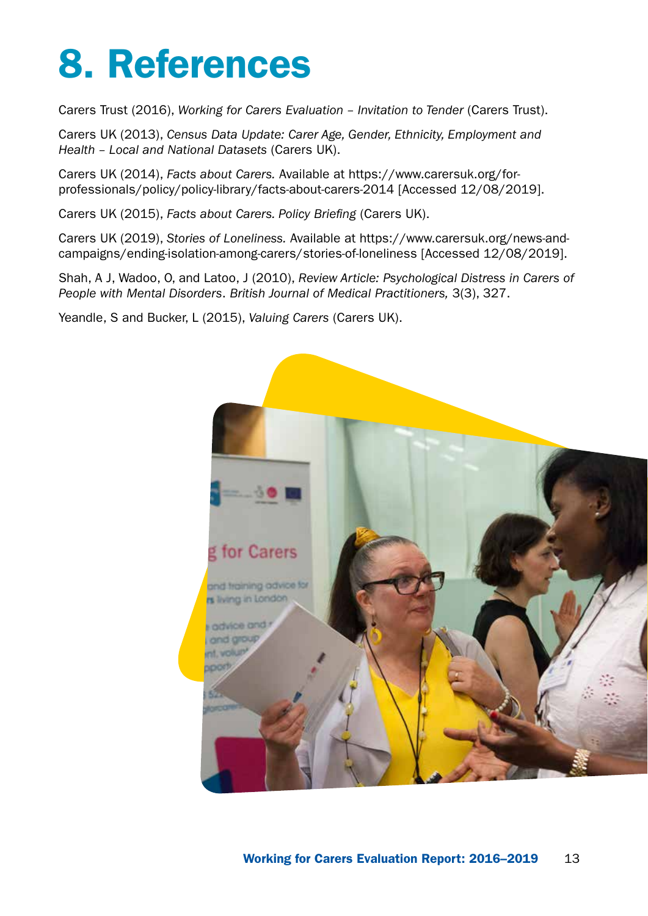## <span id="page-14-0"></span>8. References

Carers Trust (2016), *Working for Carers Evaluation – Invitation to Tender* (Carers Trust).

Carers UK (2013), *Census Data Update: Carer Age, Gender, Ethnicity, Employment and Health – Local and National Datasets* (Carers UK).

Carers UK (2014), *Facts about Carers.* Available at [https://www.carersuk.org/for](https://www.carersuk.org/for-professionals/policy/policy-library/facts-about-carers-2014)[professionals/policy/policy-library/facts-about-carers-2014](https://www.carersuk.org/for-professionals/policy/policy-library/facts-about-carers-2014) [Accessed 12/08/2019].

Carers UK (2015), *Facts about Carers. Policy Briefing* (Carers UK).

Carers UK (2019), *Stories of Loneliness.* Available at [https://www.carersuk.org/news-and](https://www.carersuk.org/news-and-campaigns/ending-isolation-among-carers/stories-of-loneliness)[campaigns/ending-isolation-among-carers/stories-of-loneliness](https://www.carersuk.org/news-and-campaigns/ending-isolation-among-carers/stories-of-loneliness) [Accessed 12/08/2019].

Shah, A J, Wadoo, O, and Latoo, J (2010), *Review Article: Psychological Distress in Carers of People with Mental Disorders*. *British Journal of Medical Practitioners,* 3(3), 327.

Yeandle, S and Bucker, L (2015), *Valuing Carers* (Carers UK).